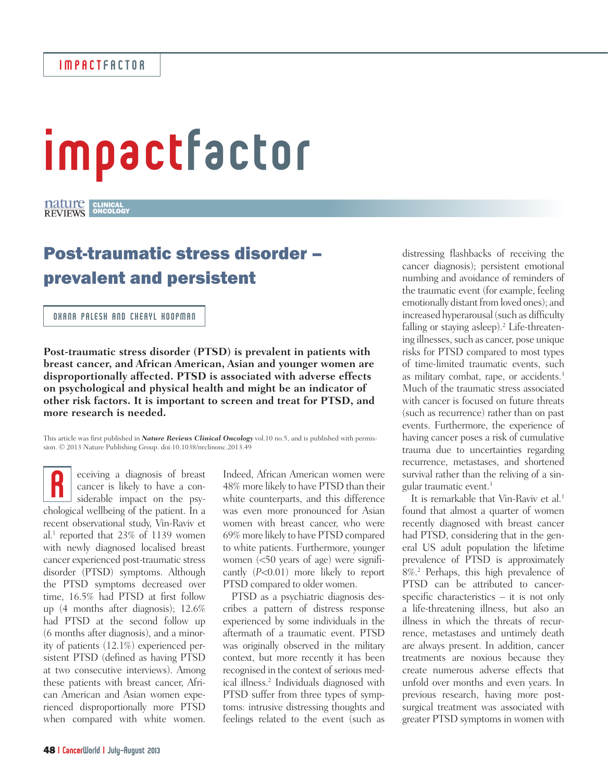# impactfactor

### CLINICAL ONCOLOGY

## Post-traumatic stress disorder – prevalent and persistent

#### OXANA PALESH AND CHERYL KOOPMAN

**Post-traumatic stress disorder (PTSD) is prevalent in patients with breast cancer, and African American, Asian and younger women are disproportionally affected. PTSD is associated with adverse effects on psychological and physical health and might be an indicator of other risk factors. It is important to screen and treat for PTSD, and more research is needed.**

This article was first published in *Nature Reviews Clinical Oncology* vol.10 no.5, and is published with permission. © 2013 Nature Publishing Group. doi:10.1038/nrclinonc.2013.49

eceiving a diagnosis of breast cancer is likely to have a considerable impact on the psychological wellbeing of the patient. In a sconsiderable impact on the psychological wellbeing of the patient. In a recent observational study, Vin-Raviv et al.1 reported that 23% of 1139 women with newly diagnosed localised breast cancer experienced post-traumatic stress disorder (PTSD) symptoms. Although the PTSD symptoms decreased over time, 16.5% had PTSD at first follow up (4 months after diagnosis); 12.6% had PTSD at the second follow up (6 months after diagnosis), and a minority of patients (12.1%) experienced persistent PTSD (defined as having PTSD at two consecutive interviews). Among these patients with breast cancer, African American and Asian women experienced disproportionally more PTSD when compared with white women.

Indeed, African American women were 48% more likely to have PTSD than their white counterparts, and this difference was even more pronounced for Asian women with breast cancer, who were 69% more likely to have PTSD compared to white patients. Furthermore, younger women (<50 years of age) were significantly (*P*<0.01) more likely to report PTSD compared to older women.

PTSD as a psychiatric diagnosis describes a pattern of distress response experienced by some individuals in the aftermath of a traumatic event. PTSD was originally observed in the military context, but more recently it has been recognised in the context of serious medical illness.<sup>2</sup> Individuals diagnosed with PTSD suffer from three types of symptoms: intrusive distressing thoughts and feelings related to the event (such as

distressing flashbacks of receiving the cancer diagnosis); persistent emotional numbing and avoidance of reminders of the traumatic event (for example, feeling emotionally distant from loved ones); and increased hyperarousal (such as difficulty falling or staying asleep).<sup>2</sup> Life-threatening illnesses, such as cancer, pose unique risks for PTSD compared to most types of time-limited traumatic events, such as military combat, rape, or accidents.3 Much of the traumatic stress associated with cancer is focused on future threats (such as recurrence) rather than on past events. Furthermore, the experience of having cancer poses a risk of cumulative trauma due to uncertainties regarding recurrence, metastases, and shortened survival rather than the reliving of a singular traumatic event.3

It is remarkable that Vin-Raviv et al.<sup>1</sup> found that almost a quarter of women recently diagnosed with breast cancer had PTSD, considering that in the general US adult population the lifetime prevalence of PTSD is approximately 8%.2 Perhaps, this high prevalence of PTSD can be attributed to cancerspecific characteristics – it is not only a life-threatening illness, but also an illness in which the threats of recurrence, metastases and untimely death are always present. In addition, cancer treatments are noxious because they create numerous adverse effects that unfold over months and even years. In previous research, having more postsurgical treatment was associated with greater PTSD symptoms in women with